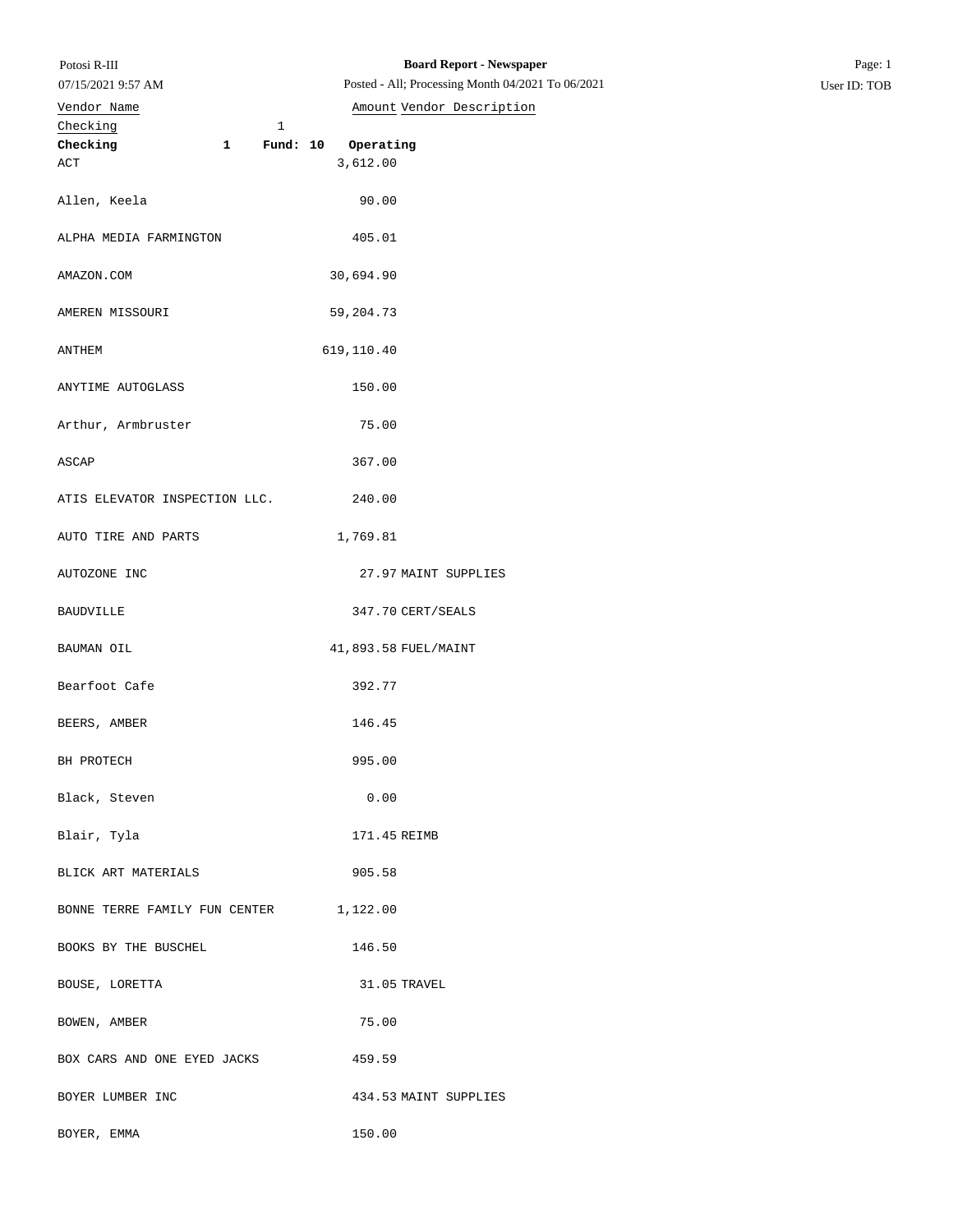| Potosi R-III |  |
|--------------|--|
|              |  |

07/15/2021 9:57 AM

## Checking 1 **Checking 1 Fund: 10 Operating** ACT 3,612.00 Allen, Keela 90.00 ALPHA MEDIA FARMINGTON 405.01 AMAZON.COM 30,694.90 AMEREN MISSOURI 59,204.73 ANTHEM 619,110.40 ANYTIME AUTOGLASS 150.00 Arthur, Armbruster 75.00 ASCAP 367.00 ATIS ELEVATOR INSPECTION LLC. 240.00 AUTO TIRE AND PARTS 1,769.81 AUTOZONE INC 27.97 MAINT SUPPLIES BAUDVILLE 347.70 CERT/SEALS BAUMAN OIL 41,893.58 FUEL/MAINT Bearfoot Cafe 392.77 BEERS, AMBER 146.45 BH PROTECH 995.00 Black, Steven 0.00 Blair, Tyla 171.45 REIMB BLICK ART MATERIALS 905.58 BONNE TERRE FAMILY FUN CENTER 1,122.00 BOOKS BY THE BUSCHEL 146.50 BOUSE, LORETTA 31.05 TRAVEL BOWEN, AMBER 75.00 BOX CARS AND ONE EYED JACKS 459.59 BOYER LUMBER INC 434.53 MAINT SUPPLIES Vendor Name **Amount** Vendor Description

BOYER, EMMA 150.00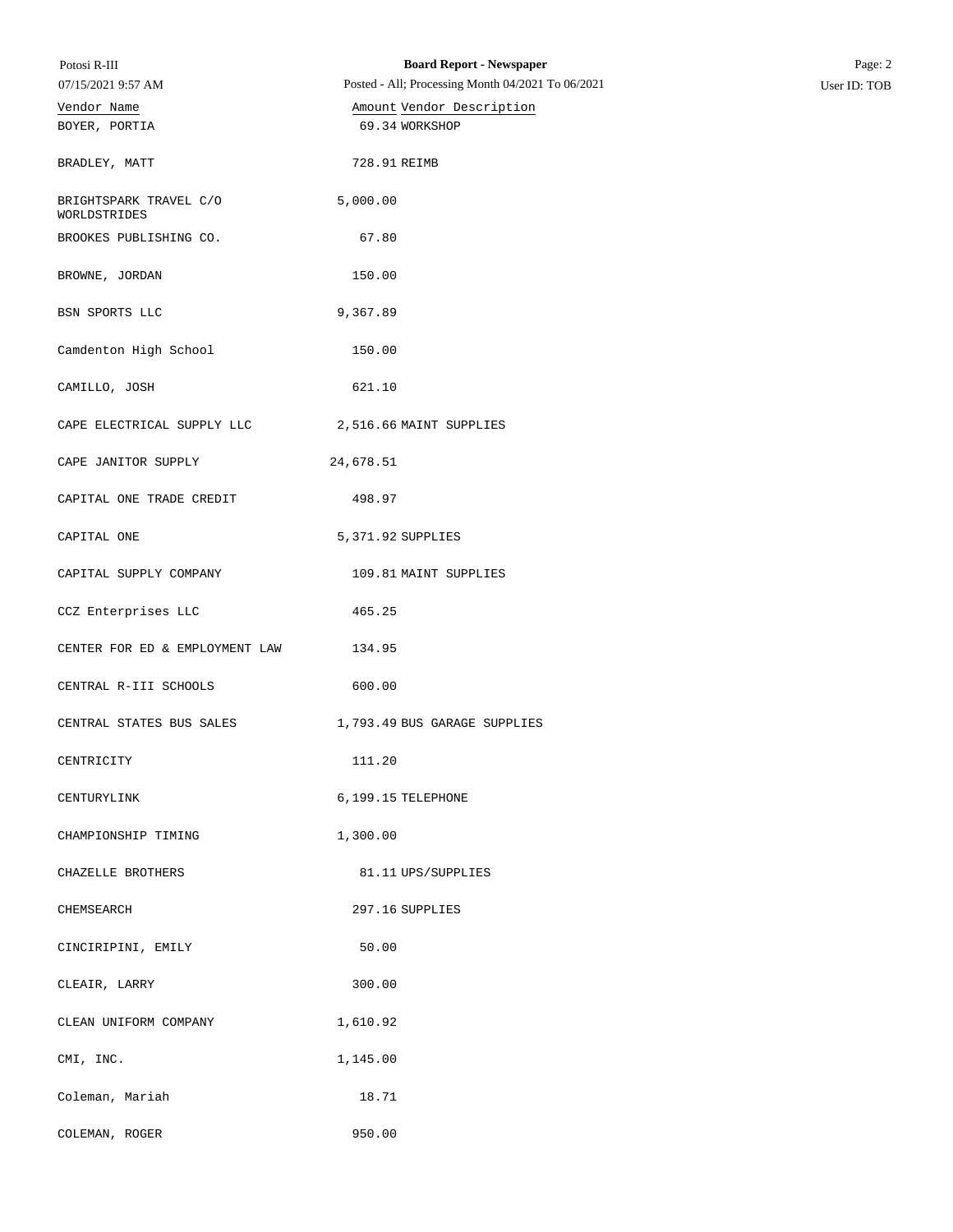| Potosi R-III                           | <b>Board Report - Newspaper</b>                   | Page: 2      |
|----------------------------------------|---------------------------------------------------|--------------|
| 07/15/2021 9:57 AM                     | Posted - All; Processing Month 04/2021 To 06/2021 | User ID: TOB |
| Vendor Name                            | Amount Vendor Description                         |              |
| BOYER, PORTIA                          | 69.34 WORKSHOP                                    |              |
| BRADLEY, MATT                          | 728.91 REIMB                                      |              |
| BRIGHTSPARK TRAVEL C/O<br>WORLDSTRIDES | 5,000.00                                          |              |
| BROOKES PUBLISHING CO.                 | 67.80                                             |              |
| BROWNE, JORDAN                         | 150.00                                            |              |
| BSN SPORTS LLC                         | 9,367.89                                          |              |
| Camdenton High School                  | 150.00                                            |              |
| CAMILLO, JOSH                          | 621.10                                            |              |
| CAPE ELECTRICAL SUPPLY LLC             | 2,516.66 MAINT SUPPLIES                           |              |
| CAPE JANITOR SUPPLY                    | 24,678.51                                         |              |
| CAPITAL ONE TRADE CREDIT               | 498.97                                            |              |
| CAPITAL ONE                            | 5,371.92 SUPPLIES                                 |              |
| CAPITAL SUPPLY COMPANY                 | 109.81 MAINT SUPPLIES                             |              |
| CCZ Enterprises LLC                    | 465.25                                            |              |
| CENTER FOR ED & EMPLOYMENT LAW         | 134.95                                            |              |
| CENTRAL R-III SCHOOLS                  | 600.00                                            |              |
| CENTRAL STATES BUS SALES               | 1,793.49 BUS GARAGE SUPPLIES                      |              |
| CENTRICITY                             | 111.20                                            |              |
| CENTURYLINK                            | 6,199.15 TELEPHONE                                |              |
| CHAMPIONSHIP TIMING                    | 1,300.00                                          |              |
| CHAZELLE BROTHERS                      | 81.11 UPS/SUPPLIES                                |              |
| CHEMSEARCH                             | 297.16 SUPPLIES                                   |              |
| CINCIRIPINI, EMILY                     | 50.00                                             |              |
| CLEAIR, LARRY                          | 300.00                                            |              |
| CLEAN UNIFORM COMPANY                  | 1,610.92                                          |              |
| CMI, INC.                              | 1,145.00                                          |              |
| Coleman, Mariah                        | 18.71                                             |              |
| COLEMAN, ROGER                         | 950.00                                            |              |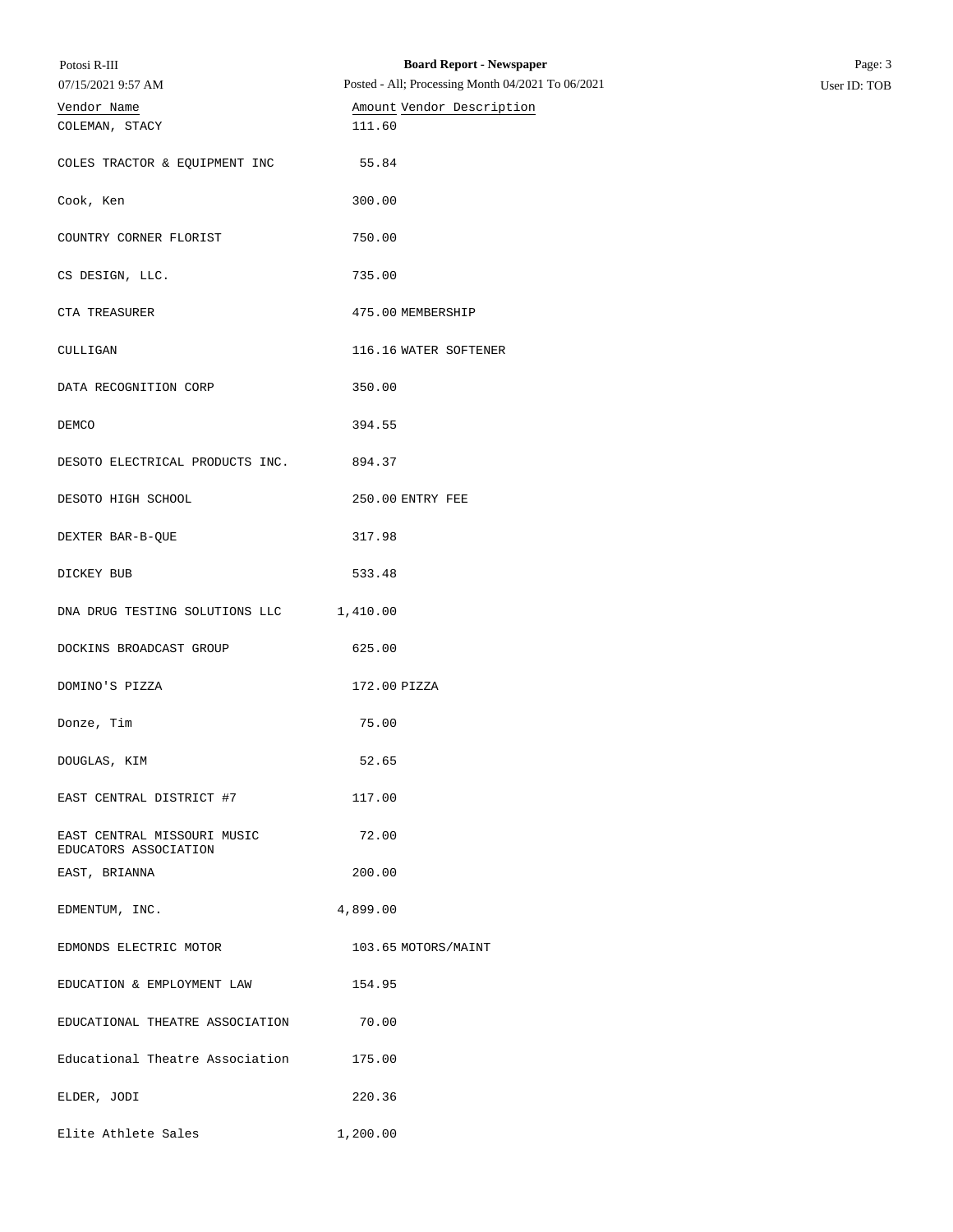| Potosi R-III<br>07/15/2021 9:57 AM                   | <b>Board Report - Newspaper</b><br>Posted - All; Processing Month 04/2021 To 06/2021 | Page: 3<br>User ID: TOB |
|------------------------------------------------------|--------------------------------------------------------------------------------------|-------------------------|
| Vendor Name                                          | Amount Vendor Description<br>111.60                                                  |                         |
| COLEMAN, STACY                                       |                                                                                      |                         |
| COLES TRACTOR & EQUIPMENT INC                        | 55.84                                                                                |                         |
| Cook, Ken                                            | 300.00                                                                               |                         |
| COUNTRY CORNER FLORIST                               | 750.00                                                                               |                         |
| CS DESIGN, LLC.                                      | 735.00                                                                               |                         |
| CTA TREASURER                                        | 475.00 MEMBERSHIP                                                                    |                         |
| CULLIGAN                                             | 116.16 WATER SOFTENER                                                                |                         |
| DATA RECOGNITION CORP                                | 350.00                                                                               |                         |
| DEMCO                                                | 394.55                                                                               |                         |
| DESOTO ELECTRICAL PRODUCTS INC.                      | 894.37                                                                               |                         |
| DESOTO HIGH SCHOOL                                   | 250.00 ENTRY FEE                                                                     |                         |
| DEXTER BAR-B-QUE                                     | 317.98                                                                               |                         |
| DICKEY BUB                                           | 533.48                                                                               |                         |
| DNA DRUG TESTING SOLUTIONS LLC                       | 1,410.00                                                                             |                         |
| DOCKINS BROADCAST GROUP                              | 625.00                                                                               |                         |
| DOMINO'S PIZZA                                       | 172.00 PIZZA                                                                         |                         |
| Donze, Tim                                           | 75.00                                                                                |                         |
| DOUGLAS, KIM                                         | 52.65                                                                                |                         |
| EAST CENTRAL DISTRICT #7                             | 117.00                                                                               |                         |
| EAST CENTRAL MISSOURI MUSIC<br>EDUCATORS ASSOCIATION | 72.00                                                                                |                         |
| EAST, BRIANNA                                        | 200.00                                                                               |                         |
| EDMENTUM, INC.                                       | 4,899.00                                                                             |                         |
| EDMONDS ELECTRIC MOTOR                               | 103.65 MOTORS/MAINT                                                                  |                         |
| EDUCATION & EMPLOYMENT LAW                           | 154.95                                                                               |                         |
| EDUCATIONAL THEATRE ASSOCIATION                      | 70.00                                                                                |                         |
| Educational Theatre Association                      | 175.00                                                                               |                         |
| ELDER, JODI                                          | 220.36                                                                               |                         |
| Elite Athlete Sales                                  | 1,200.00                                                                             |                         |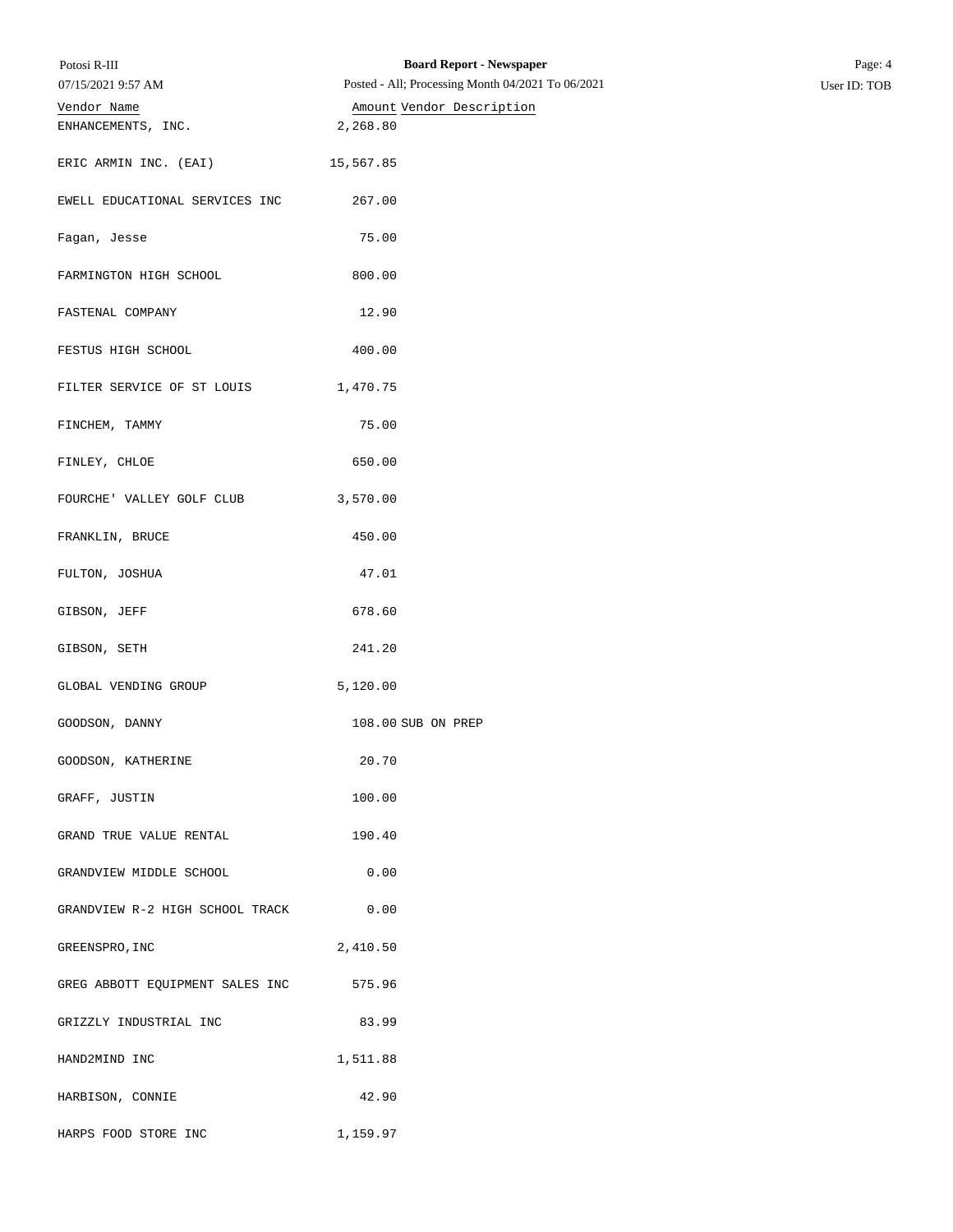| Potosi R-III                    | <b>Board Report - Newspaper</b>                   | Page: 4      |
|---------------------------------|---------------------------------------------------|--------------|
| 07/15/2021 9:57 AM              | Posted - All; Processing Month 04/2021 To 06/2021 | User ID: TOB |
| Vendor Name                     | Amount Vendor Description                         |              |
| ENHANCEMENTS, INC.              | 2,268.80                                          |              |
| ERIC ARMIN INC. (EAI)           | 15,567.85                                         |              |
| EWELL EDUCATIONAL SERVICES INC  | 267.00                                            |              |
| Fagan, Jesse                    | 75.00                                             |              |
| FARMINGTON HIGH SCHOOL          | 800.00                                            |              |
| FASTENAL COMPANY                | 12.90                                             |              |
| FESTUS HIGH SCHOOL              | 400.00                                            |              |
| FILTER SERVICE OF ST LOUIS      | 1,470.75                                          |              |
| FINCHEM, TAMMY                  | 75.00                                             |              |
| FINLEY, CHLOE                   | 650.00                                            |              |
| FOURCHE' VALLEY GOLF CLUB       | 3,570.00                                          |              |
| FRANKLIN, BRUCE                 | 450.00                                            |              |
| FULTON, JOSHUA                  | 47.01                                             |              |
| GIBSON, JEFF                    | 678.60                                            |              |
| GIBSON, SETH                    | 241.20                                            |              |
| GLOBAL VENDING GROUP            | 5,120.00                                          |              |
| GOODSON, DANNY                  | 108.00 SUB ON PREP                                |              |
| GOODSON, KATHERINE              | 20.70                                             |              |
| GRAFF, JUSTIN                   | 100.00                                            |              |
| GRAND TRUE VALUE RENTAL         | 190.40                                            |              |
| GRANDVIEW MIDDLE SCHOOL         | 0.00                                              |              |
| GRANDVIEW R-2 HIGH SCHOOL TRACK | 0.00                                              |              |
| GREENSPRO, INC                  | 2,410.50                                          |              |
| GREG ABBOTT EQUIPMENT SALES INC | 575.96                                            |              |
| GRIZZLY INDUSTRIAL INC          | 83.99                                             |              |
| HAND2MIND INC                   | 1,511.88                                          |              |
| HARBISON, CONNIE                | 42.90                                             |              |
| HARPS FOOD STORE INC            | 1,159.97                                          |              |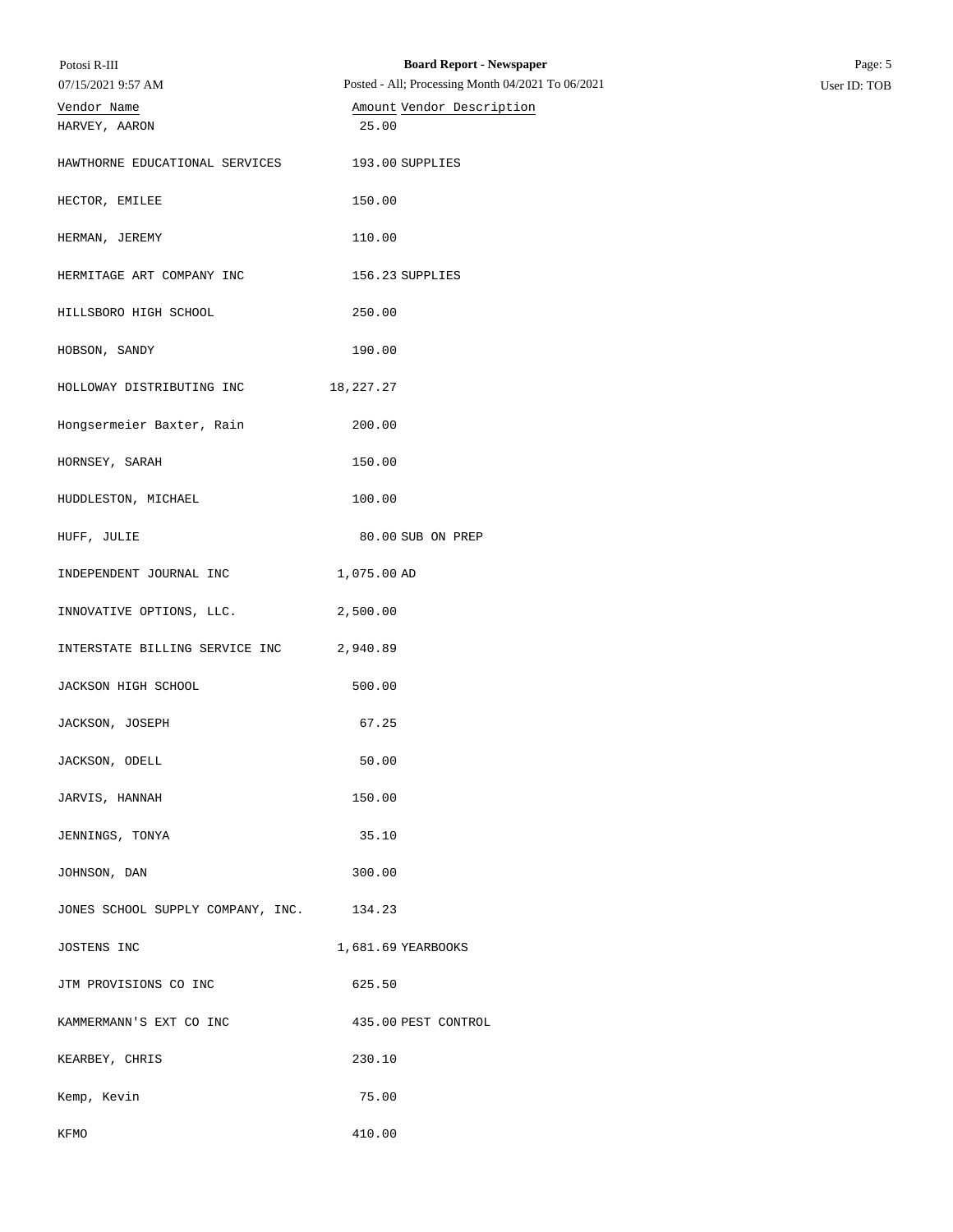| Potosi R-III<br>07/15/2021 9:57 AM | <b>Board Report - Newspaper</b><br>Posted - All; Processing Month 04/2021 To 06/2021 | Page: 5<br>User ID: TOB |
|------------------------------------|--------------------------------------------------------------------------------------|-------------------------|
| Vendor Name                        | Amount Vendor Description                                                            |                         |
| HARVEY, AARON                      | 25.00                                                                                |                         |
| HAWTHORNE EDUCATIONAL SERVICES     | 193.00 SUPPLIES                                                                      |                         |
| HECTOR, EMILEE                     | 150.00                                                                               |                         |
| HERMAN, JEREMY                     | 110.00                                                                               |                         |
| HERMITAGE ART COMPANY INC          | 156.23 SUPPLIES                                                                      |                         |
| HILLSBORO HIGH SCHOOL              | 250.00                                                                               |                         |
| HOBSON, SANDY                      | 190.00                                                                               |                         |
| HOLLOWAY DISTRIBUTING INC          | 18,227.27                                                                            |                         |
| Hongsermeier Baxter, Rain          | 200.00                                                                               |                         |
| HORNSEY, SARAH                     | 150.00                                                                               |                         |
| HUDDLESTON, MICHAEL                | 100.00                                                                               |                         |
| HUFF, JULIE                        | 80.00 SUB ON PREP                                                                    |                         |
| INDEPENDENT JOURNAL INC            | 1,075.00 AD                                                                          |                         |
| INNOVATIVE OPTIONS, LLC.           | 2,500.00                                                                             |                         |
| INTERSTATE BILLING SERVICE INC     | 2,940.89                                                                             |                         |
| JACKSON HIGH SCHOOL                | 500.00                                                                               |                         |
| JACKSON, JOSEPH                    | 67.25                                                                                |                         |
| JACKSON, ODELL                     | 50.00                                                                                |                         |
| JARVIS, HANNAH                     | 150.00                                                                               |                         |
| JENNINGS, TONYA                    | 35.10                                                                                |                         |
| JOHNSON, DAN                       | 300.00                                                                               |                         |
| JONES SCHOOL SUPPLY COMPANY, INC.  | 134.23                                                                               |                         |
| JOSTENS INC                        | 1,681.69 YEARBOOKS                                                                   |                         |
| JTM PROVISIONS CO INC              | 625.50                                                                               |                         |
| KAMMERMANN'S EXT CO INC            | 435.00 PEST CONTROL                                                                  |                         |
| KEARBEY, CHRIS                     | 230.10                                                                               |                         |
| Kemp, Kevin                        | 75.00                                                                                |                         |
| KFMO                               | 410.00                                                                               |                         |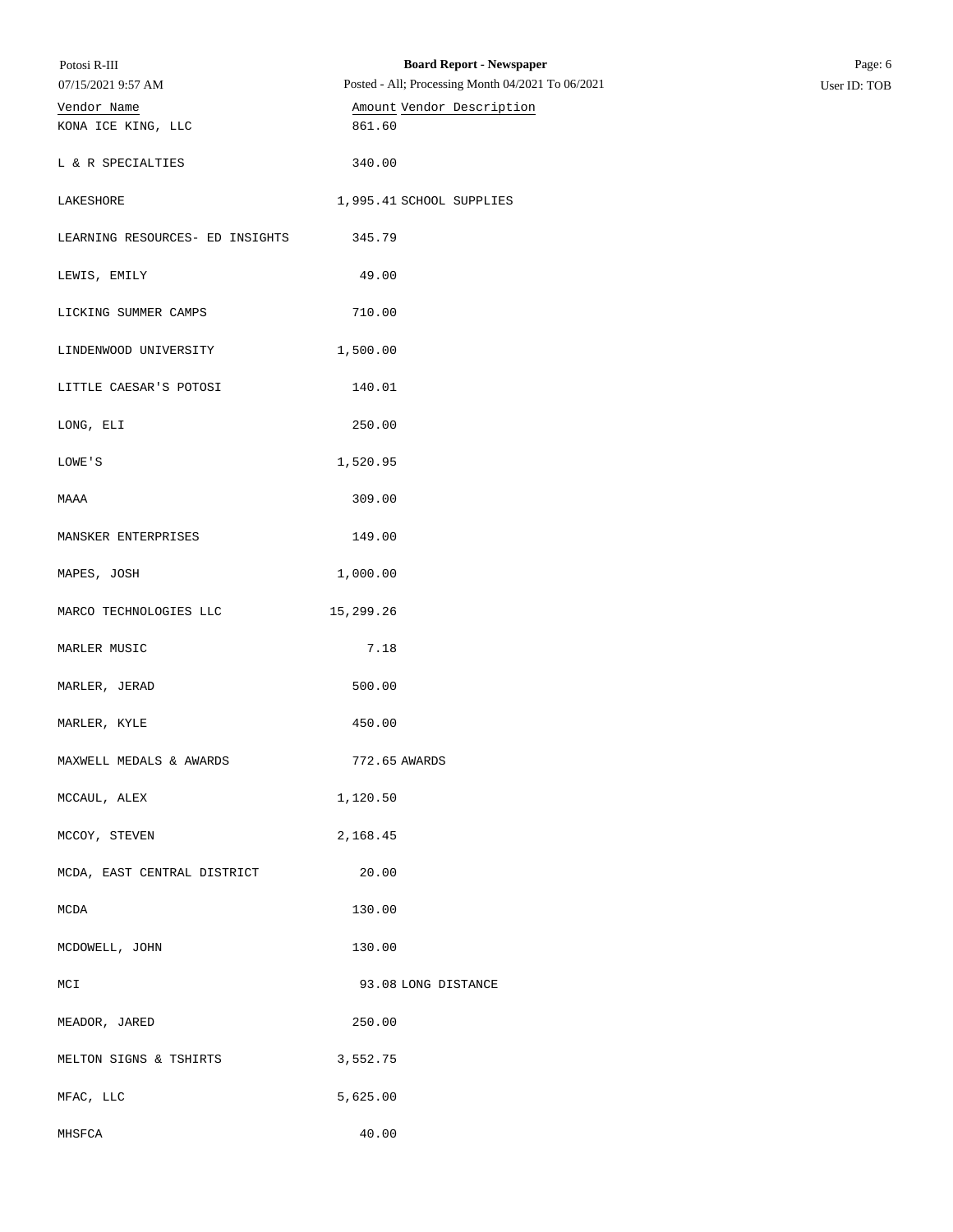| Potosi R-III<br>07/15/2021 9:57 AM | <b>Board Report - Newspaper</b><br>Posted - All; Processing Month 04/2021 To 06/2021 | Page: 6<br>User ID: TOB |
|------------------------------------|--------------------------------------------------------------------------------------|-------------------------|
| Vendor Name                        | Amount Vendor Description                                                            |                         |
| KONA ICE KING, LLC                 | 861.60                                                                               |                         |
| L & R SPECIALTIES                  | 340.00                                                                               |                         |
| LAKESHORE                          | 1,995.41 SCHOOL SUPPLIES                                                             |                         |
| LEARNING RESOURCES- ED INSIGHTS    | 345.79                                                                               |                         |
| LEWIS, EMILY                       | 49.00                                                                                |                         |
| LICKING SUMMER CAMPS               | 710.00                                                                               |                         |
| LINDENWOOD UNIVERSITY              | 1,500.00                                                                             |                         |
| LITTLE CAESAR'S POTOSI             | 140.01                                                                               |                         |
| LONG, ELI                          | 250.00                                                                               |                         |
| LOWE'S                             | 1,520.95                                                                             |                         |
| MAAA                               | 309.00                                                                               |                         |
| MANSKER ENTERPRISES                | 149.00                                                                               |                         |
| MAPES, JOSH                        | 1,000.00                                                                             |                         |
| MARCO TECHNOLOGIES LLC             | 15,299.26                                                                            |                         |
| MARLER MUSIC                       | 7.18                                                                                 |                         |
| MARLER, JERAD                      | 500.00                                                                               |                         |
| MARLER, KYLE                       | 450.00                                                                               |                         |
| MAXWELL MEDALS & AWARDS            | 772.65 AWARDS                                                                        |                         |
| MCCAUL, ALEX                       | 1,120.50                                                                             |                         |
| MCCOY, STEVEN                      | 2,168.45                                                                             |                         |
| MCDA, EAST CENTRAL DISTRICT        | 20.00                                                                                |                         |
| MCDA                               | 130.00                                                                               |                         |
| MCDOWELL, JOHN                     | 130.00                                                                               |                         |
| MCI                                | 93.08 LONG DISTANCE                                                                  |                         |
| MEADOR, JARED                      | 250.00                                                                               |                         |
| MELTON SIGNS & TSHIRTS             | 3,552.75                                                                             |                         |
| MFAC, LLC                          | 5,625.00                                                                             |                         |
| MHSFCA                             | 40.00                                                                                |                         |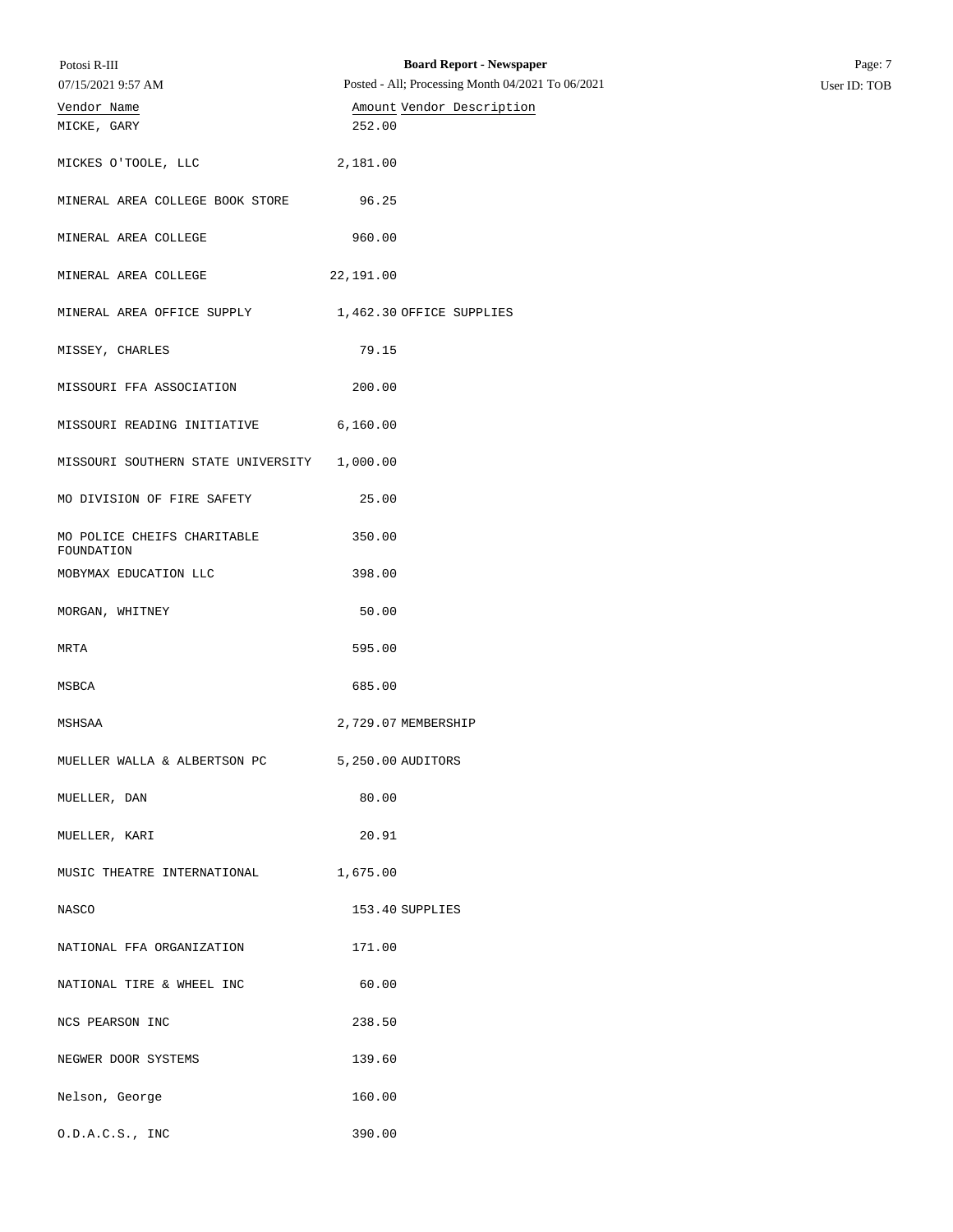| Potosi R-III<br>07/15/2021 9:57 AM        | <b>Board Report - Newspaper</b><br>Posted - All; Processing Month 04/2021 To 06/2021 | Page: 7<br>User ID: TOB |
|-------------------------------------------|--------------------------------------------------------------------------------------|-------------------------|
| Vendor Name<br>MICKE, GARY                | Amount Vendor Description<br>252.00                                                  |                         |
|                                           |                                                                                      |                         |
| MICKES O'TOOLE, LLC                       | 2,181.00                                                                             |                         |
| MINERAL AREA COLLEGE BOOK STORE           | 96.25                                                                                |                         |
| MINERAL AREA COLLEGE                      | 960.00                                                                               |                         |
| MINERAL AREA COLLEGE                      | 22,191.00                                                                            |                         |
| MINERAL AREA OFFICE SUPPLY                | 1,462.30 OFFICE SUPPLIES                                                             |                         |
| MISSEY, CHARLES                           | 79.15                                                                                |                         |
| MISSOURI FFA ASSOCIATION                  | 200.00                                                                               |                         |
| MISSOURI READING INITIATIVE               | 6,160.00                                                                             |                         |
| MISSOURI SOUTHERN STATE UNIVERSITY        | 1,000.00                                                                             |                         |
| MO DIVISION OF FIRE SAFETY                | 25.00                                                                                |                         |
| MO POLICE CHEIFS CHARITABLE<br>FOUNDATION | 350.00                                                                               |                         |
| MOBYMAX EDUCATION LLC                     | 398.00                                                                               |                         |
| MORGAN, WHITNEY                           | 50.00                                                                                |                         |
| MRTA                                      | 595.00                                                                               |                         |
| MSBCA                                     | 685.00                                                                               |                         |
| MSHSAA                                    | 2,729.07 MEMBERSHIP                                                                  |                         |
| MUELLER WALLA & ALBERTSON PC              | 5,250.00 AUDITORS                                                                    |                         |
| MUELLER, DAN                              | 80.00                                                                                |                         |
| MUELLER, KARI                             | 20.91                                                                                |                         |
| MUSIC THEATRE INTERNATIONAL               | 1,675.00                                                                             |                         |
| NASCO                                     | 153.40 SUPPLIES                                                                      |                         |
| NATIONAL FFA ORGANIZATION                 | 171.00                                                                               |                         |
| NATIONAL TIRE & WHEEL INC                 | 60.00                                                                                |                         |
| NCS PEARSON INC                           | 238.50                                                                               |                         |
| NEGWER DOOR SYSTEMS                       | 139.60                                                                               |                         |
| Nelson, George                            | 160.00                                                                               |                         |
| 0.D.A.C.S., INC                           | 390.00                                                                               |                         |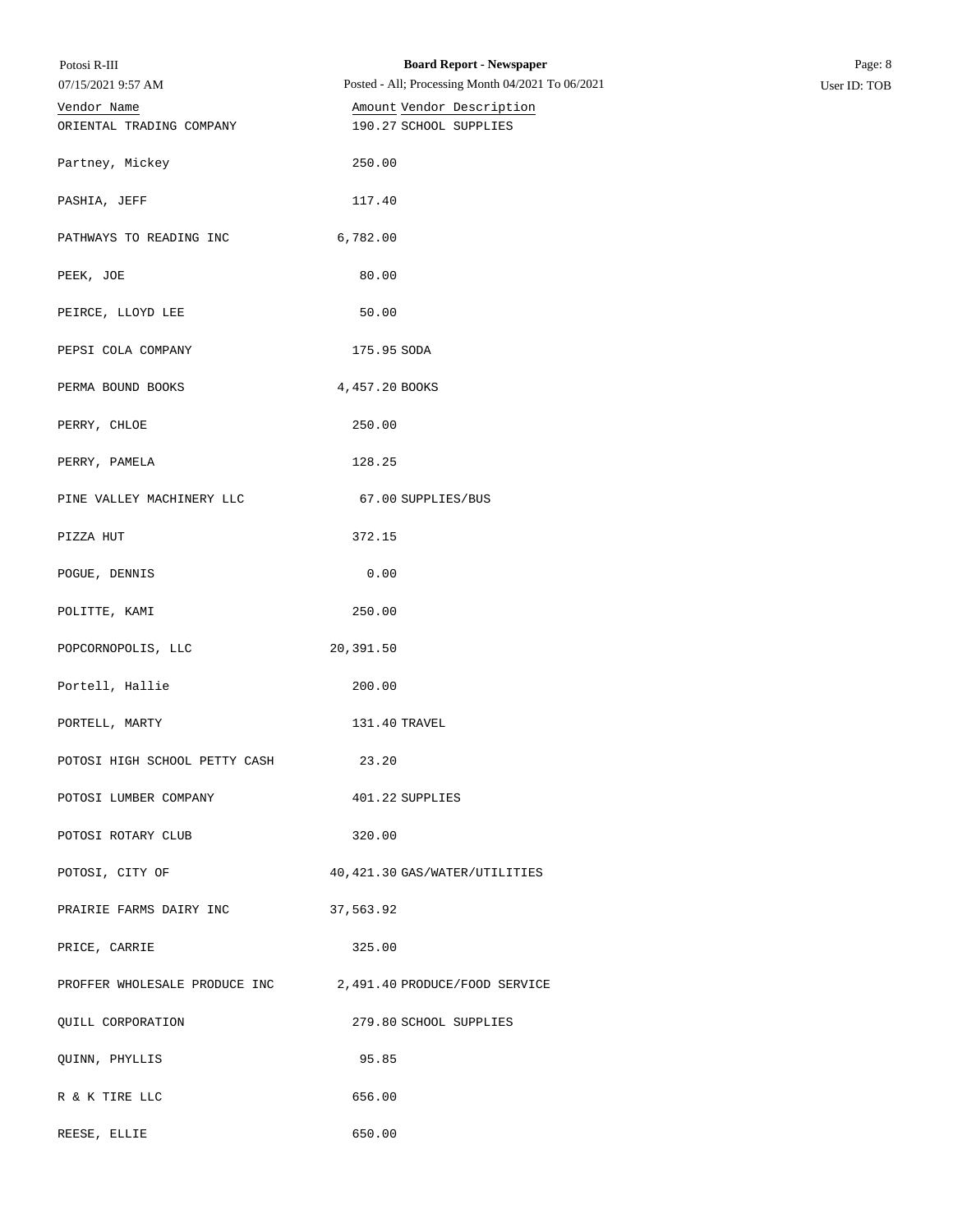| Potosi R-III                            | <b>Board Report - Newspaper</b>                             | Page: 8      |
|-----------------------------------------|-------------------------------------------------------------|--------------|
| 07/15/2021 9:57 AM                      | Posted - All; Processing Month 04/2021 To 06/2021           | User ID: TOB |
| Vendor Name<br>ORIENTAL TRADING COMPANY | Amount Vendor Description<br>190.27 SCHOOL SUPPLIES         |              |
|                                         |                                                             |              |
| Partney, Mickey                         | 250.00                                                      |              |
|                                         |                                                             |              |
| PASHIA, JEFF                            | 117.40                                                      |              |
| PATHWAYS TO READING INC                 | 6,782.00                                                    |              |
|                                         |                                                             |              |
| PEEK, JOE                               | 80.00                                                       |              |
| PEIRCE, LLOYD LEE                       | 50.00                                                       |              |
|                                         |                                                             |              |
| PEPSI COLA COMPANY                      | 175.95 SODA                                                 |              |
| PERMA BOUND BOOKS                       | 4,457.20 BOOKS                                              |              |
|                                         |                                                             |              |
| PERRY, CHLOE                            | 250.00                                                      |              |
| PERRY, PAMELA                           | 128.25                                                      |              |
|                                         |                                                             |              |
| PINE VALLEY MACHINERY LLC               | 67.00 SUPPLIES/BUS                                          |              |
| PIZZA HUT                               | 372.15                                                      |              |
|                                         | 0.00                                                        |              |
| POGUE, DENNIS                           |                                                             |              |
| POLITTE, KAMI                           | 250.00                                                      |              |
| POPCORNOPOLIS, LLC                      | 20,391.50                                                   |              |
|                                         |                                                             |              |
| Portell, Hallie                         | 200.00                                                      |              |
| PORTELL, MARTY                          | 131.40 TRAVEL                                               |              |
|                                         |                                                             |              |
| POTOSI HIGH SCHOOL PETTY CASH           | 23.20                                                       |              |
| POTOSI LUMBER COMPANY                   | 401.22 SUPPLIES                                             |              |
|                                         |                                                             |              |
| POTOSI ROTARY CLUB                      | 320.00                                                      |              |
| POTOSI, CITY OF                         | 40, 421.30 GAS/WATER/UTILITIES                              |              |
|                                         |                                                             |              |
| PRAIRIE FARMS DAIRY INC                 | 37,563.92                                                   |              |
| PRICE, CARRIE                           | 325.00                                                      |              |
|                                         |                                                             |              |
|                                         | PROFFER WHOLESALE PRODUCE INC 2,491.40 PRODUCE/FOOD SERVICE |              |
| QUILL CORPORATION                       | 279.80 SCHOOL SUPPLIES                                      |              |
|                                         |                                                             |              |
| QUINN, PHYLLIS                          | 95.85                                                       |              |
| R & K TIRE LLC                          | 656.00                                                      |              |
|                                         |                                                             |              |
| REESE, ELLIE                            | 650.00                                                      |              |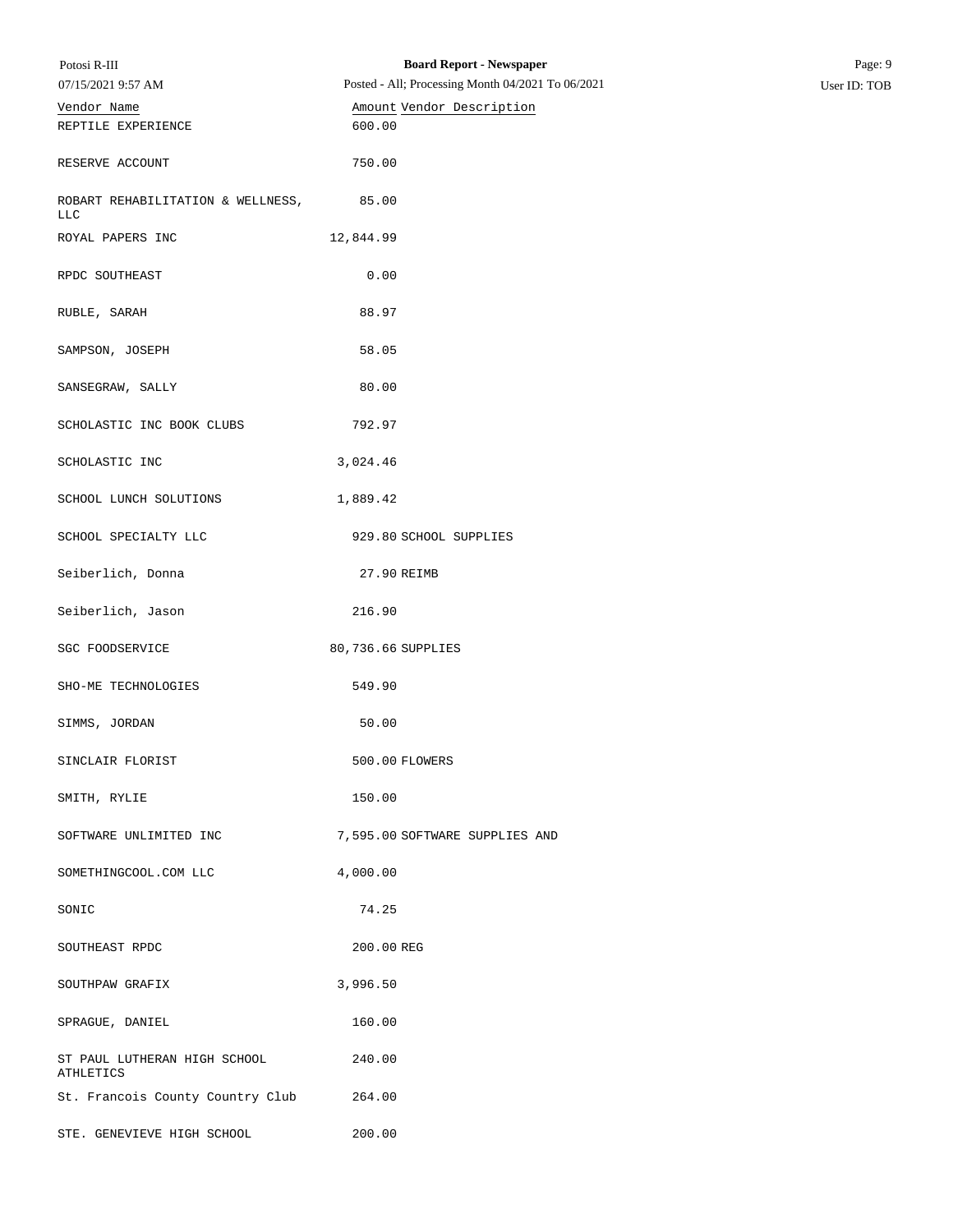| Potosi R-III                                    | <b>Board Report - Newspaper</b>                   | Page: 9      |
|-------------------------------------------------|---------------------------------------------------|--------------|
| 07/15/2021 9:57 AM                              | Posted - All; Processing Month 04/2021 To 06/2021 | User ID: TOB |
| Vendor Name                                     | Amount Vendor Description                         |              |
| REPTILE EXPERIENCE                              | 600.00                                            |              |
| RESERVE ACCOUNT                                 | 750.00                                            |              |
| ROBART REHABILITATION & WELLNESS,<br><b>LLC</b> | 85.00                                             |              |
| ROYAL PAPERS INC                                | 12,844.99                                         |              |
| RPDC SOUTHEAST                                  | 0.00                                              |              |
| RUBLE, SARAH                                    | 88.97                                             |              |
| SAMPSON, JOSEPH                                 | 58.05                                             |              |
| SANSEGRAW, SALLY                                | 80.00                                             |              |
| SCHOLASTIC INC BOOK CLUBS                       | 792.97                                            |              |
| SCHOLASTIC INC                                  | 3,024.46                                          |              |
| SCHOOL LUNCH SOLUTIONS                          | 1,889.42                                          |              |
| SCHOOL SPECIALTY LLC                            | 929.80 SCHOOL SUPPLIES                            |              |
| Seiberlich, Donna                               | 27.90 REIMB                                       |              |
| Seiberlich, Jason                               | 216.90                                            |              |
| SGC FOODSERVICE                                 | 80,736.66 SUPPLIES                                |              |
| SHO-ME TECHNOLOGIES                             | 549.90                                            |              |
| SIMMS, JORDAN                                   | 50.00                                             |              |
| SINCLAIR FLORIST                                | 500.00 FLOWERS                                    |              |
| SMITH, RYLIE                                    | 150.00                                            |              |
| SOFTWARE UNLIMITED INC                          | 7,595.00 SOFTWARE SUPPLIES AND                    |              |
| SOMETHINGCOOL.COM LLC                           | 4,000.00                                          |              |
| SONIC                                           | 74.25                                             |              |
| SOUTHEAST RPDC                                  | 200.00 REG                                        |              |
| SOUTHPAW GRAFIX                                 | 3,996.50                                          |              |
| SPRAGUE, DANIEL                                 | 160.00                                            |              |
| ST PAUL LUTHERAN HIGH SCHOOL<br>ATHLETICS       | 240.00                                            |              |
| St. Francois County Country Club                | 264.00                                            |              |
| STE. GENEVIEVE HIGH SCHOOL                      | 200.00                                            |              |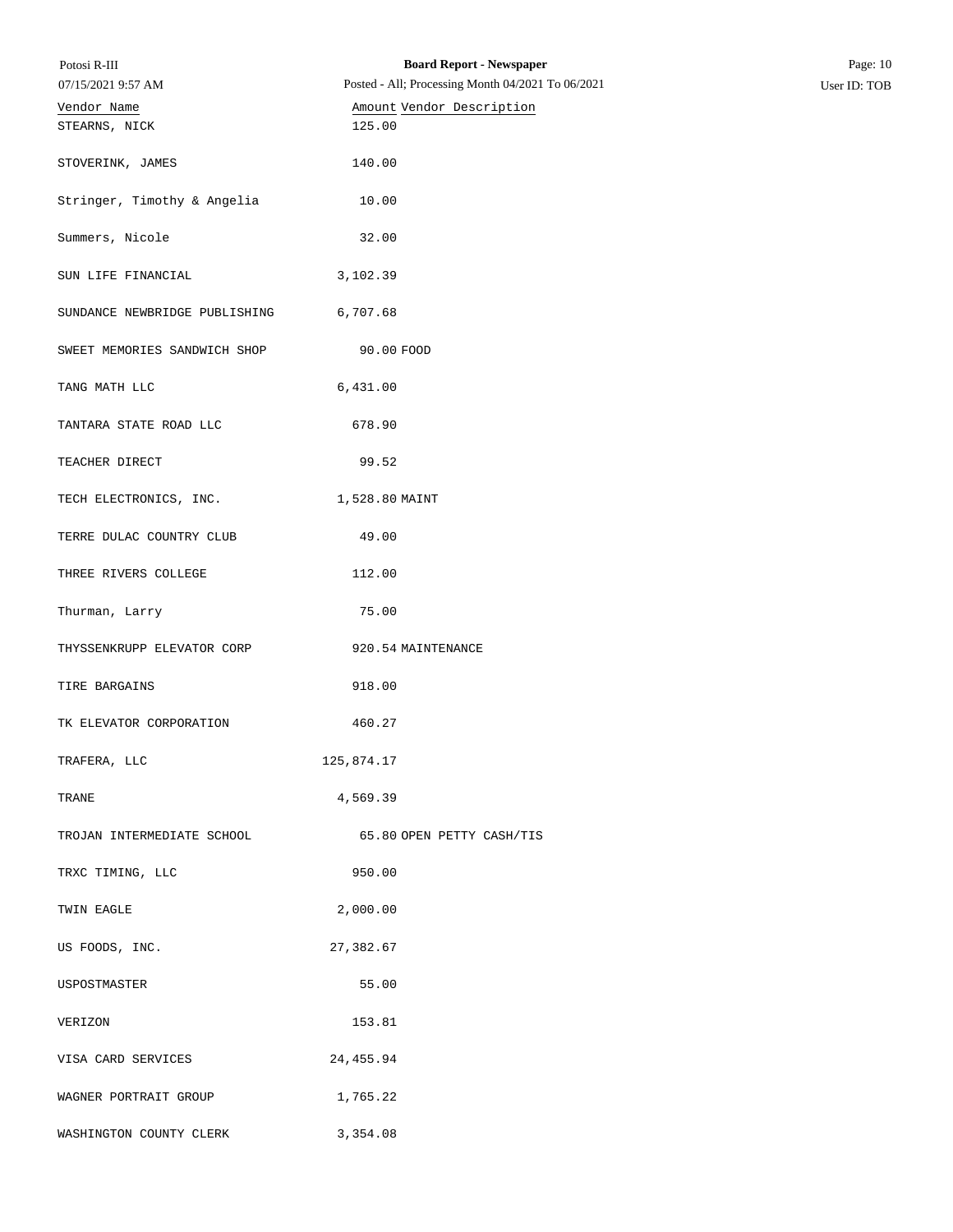| <b>Board Report - Newspaper</b><br>Potosi R-III<br>Posted - All; Processing Month 04/2021 To 06/2021<br>07/15/2021 9:57 AM |                                     | Page: 10<br>User ID: TOB |  |
|----------------------------------------------------------------------------------------------------------------------------|-------------------------------------|--------------------------|--|
|                                                                                                                            |                                     |                          |  |
| Vendor Name                                                                                                                | Amount Vendor Description<br>125.00 |                          |  |
| STEARNS, NICK                                                                                                              |                                     |                          |  |
| STOVERINK, JAMES                                                                                                           | 140.00                              |                          |  |
|                                                                                                                            |                                     |                          |  |
| Stringer, Timothy & Angelia                                                                                                | 10.00                               |                          |  |
|                                                                                                                            |                                     |                          |  |
| Summers, Nicole                                                                                                            | 32.00                               |                          |  |
| SUN LIFE FINANCIAL                                                                                                         |                                     |                          |  |
|                                                                                                                            | 3,102.39                            |                          |  |
| SUNDANCE NEWBRIDGE PUBLISHING                                                                                              | 6,707.68                            |                          |  |
|                                                                                                                            |                                     |                          |  |
| SWEET MEMORIES SANDWICH SHOP                                                                                               | 90.00 FOOD                          |                          |  |
|                                                                                                                            |                                     |                          |  |
| TANG MATH LLC                                                                                                              | 6,431.00                            |                          |  |
| TANTARA STATE ROAD LLC                                                                                                     | 678.90                              |                          |  |
|                                                                                                                            |                                     |                          |  |
| TEACHER DIRECT                                                                                                             | 99.52                               |                          |  |
|                                                                                                                            |                                     |                          |  |
| TECH ELECTRONICS, INC.                                                                                                     | 1,528.80 MAINT                      |                          |  |
|                                                                                                                            |                                     |                          |  |
| TERRE DULAC COUNTRY CLUB                                                                                                   | 49.00                               |                          |  |
| THREE RIVERS COLLEGE                                                                                                       | 112.00                              |                          |  |
|                                                                                                                            |                                     |                          |  |
| Thurman, Larry                                                                                                             | 75.00                               |                          |  |
|                                                                                                                            |                                     |                          |  |
| THYSSENKRUPP ELEVATOR CORP                                                                                                 | 920.54 MAINTENANCE                  |                          |  |
|                                                                                                                            |                                     |                          |  |
| TIRE BARGAINS                                                                                                              | 918.00                              |                          |  |
| TK ELEVATOR CORPORATION                                                                                                    | 460.27                              |                          |  |
|                                                                                                                            |                                     |                          |  |
| TRAFERA, LLC                                                                                                               | 125,874.17                          |                          |  |
|                                                                                                                            |                                     |                          |  |
| TRANE                                                                                                                      | 4,569.39                            |                          |  |
|                                                                                                                            |                                     |                          |  |
| TROJAN INTERMEDIATE SCHOOL                                                                                                 | 65.80 OPEN PETTY CASH/TIS           |                          |  |
| TRXC TIMING, LLC                                                                                                           | 950.00                              |                          |  |
|                                                                                                                            |                                     |                          |  |
| TWIN EAGLE                                                                                                                 | 2,000.00                            |                          |  |
|                                                                                                                            |                                     |                          |  |
| US FOODS, INC.                                                                                                             | 27,382.67                           |                          |  |
|                                                                                                                            |                                     |                          |  |
| USPOSTMASTER                                                                                                               | 55.00                               |                          |  |
| VERIZON                                                                                                                    | 153.81                              |                          |  |
|                                                                                                                            |                                     |                          |  |
| VISA CARD SERVICES                                                                                                         | 24, 455.94                          |                          |  |
|                                                                                                                            |                                     |                          |  |
| WAGNER PORTRAIT GROUP                                                                                                      | 1,765.22                            |                          |  |
|                                                                                                                            |                                     |                          |  |
| WASHINGTON COUNTY CLERK                                                                                                    | 3,354.08                            |                          |  |